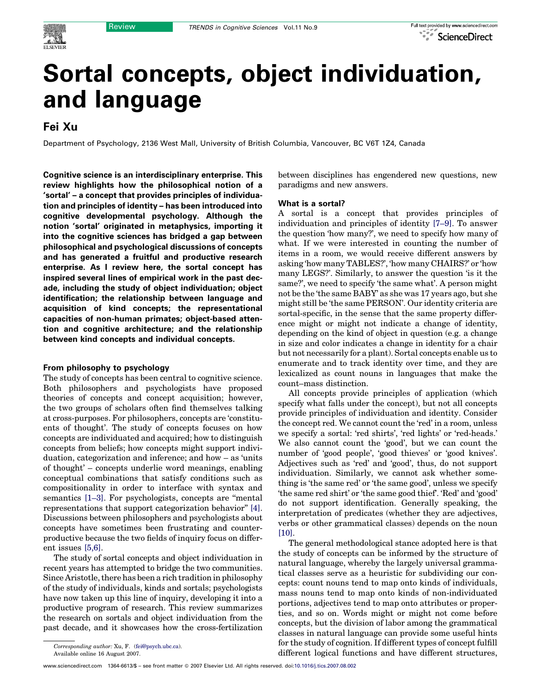# Sortal concepts, object individuation, and language

# Fei Xu

Department of Psychology, 2136 West Mall, University of British Columbia, Vancouver, BC V6T 1Z4, Canada

Cognitive science is an interdisciplinary enterprise. This review highlights how the philosophical notion of a 'sortal' – a concept that provides principles of individuation and principles of identity – has been introduced into cognitive developmental psychology. Although the notion 'sortal' originated in metaphysics, importing it into the cognitive sciences has bridged a gap between philosophical and psychological discussions of concepts and has generated a fruitful and productive research enterprise. As I review here, the sortal concept has inspired several lines of empirical work in the past decade, including the study of object individuation; object identification; the relationship between language and acquisition of kind concepts; the representational capacities of non-human primates; object-based attention and cognitive architecture; and the relationship between kind concepts and individual concepts.

#### From philosophy to psychology

The study of concepts has been central to cognitive science. Both philosophers and psychologists have proposed theories of concepts and concept acquisition; however, the two groups of scholars often find themselves talking at cross-purposes. For philosophers, concepts are 'constituents of thought'. The study of concepts focuses on how concepts are individuated and acquired; how to distinguish concepts from beliefs; how concepts might support individuation, categorization and inference; and how – as 'units of thought' – concepts underlie word meanings, enabling conceptual combinations that satisfy conditions such as compositionality in order to interface with syntax and semantics [\[1–3\].](#page-5-0) For psychologists, concepts are ''mental representations that support categorization behavior'' [\[4\]](#page-5-0). Discussions between philosophers and psychologists about concepts have sometimes been frustrating and counterproductive because the two fields of inquiry focus on different issues [\[5,6\].](#page-5-0)

The study of sortal concepts and object individuation in recent years has attempted to bridge the two communities. Since Aristotle, there has been a rich tradition in philosophy of the study of individuals, kinds and sortals; psychologists have now taken up this line of inquiry, developing it into a productive program of research. This review summarizes the research on sortals and object individuation from the past decade, and it showcases how the cross-fertilization

Available online 16 August 2007.

```
:10.1016/j.tics.2007.08.002
```
between disciplines has engendered new questions, new paradigms and new answers.

## What is a sortal?

A sortal is a concept that provides principles of individuation and principles of identity [\[7–9\].](#page-5-0) To answer the question 'how many?', we need to specify how many of what. If we were interested in counting the number of items in a room, we would receive different answers by asking 'how many TABLES?', 'how many CHAIRS?' or 'how many LEGS?'. Similarly, to answer the question 'is it the same?', we need to specify 'the same what'. A person might not be the 'the same BABY' as she was 17 years ago, but she might still be 'the same PERSON'. Our identity criteria are sortal-specific, in the sense that the same property difference might or might not indicate a change of identity, depending on the kind of object in question (e.g. a change in size and color indicates a change in identity for a chair but not necessarily for a plant). Sortal concepts enable us to enumerate and to track identity over time, and they are lexicalized as count nouns in languages that make the count–mass distinction.

All concepts provide principles of application (which specify what falls under the concept), but not all concepts provide principles of individuation and identity. Consider the concept red. We cannot count the 'red' in a room, unless we specify a sortal: 'red shirts', 'red lights' or 'red-heads.' We also cannot count the 'good', but we can count the number of 'good people', 'good thieves' or 'good knives'. Adjectives such as 'red' and 'good', thus, do not support individuation. Similarly, we cannot ask whether something is 'the same red' or 'the same good', unless we specify 'the same red shirt' or 'the same good thief'. 'Red' and 'good' do not support identification. Generally speaking, the interpretation of predicates (whether they are adjectives, verbs or other grammatical classes) depends on the noun [\[10\]](#page-5-0).

The general methodological stance adopted here is that the study of concepts can be informed by the structure of natural language, whereby the largely universal grammatical classes serve as a heuristic for subdividing our concepts: count nouns tend to map onto kinds of individuals, mass nouns tend to map onto kinds of non-individuated portions, adjectives tend to map onto attributes or properties, and so on. Words might or might not come before concepts, but the division of labor among the grammatical classes in natural language can provide some useful hints for the study of cognition. If different types of concept fulfill different logical functions and have different structures,

Corresponding author: Xu, F. ([fei@psych.ubc.ca\)](mailto:fei@psych.ubc.ca).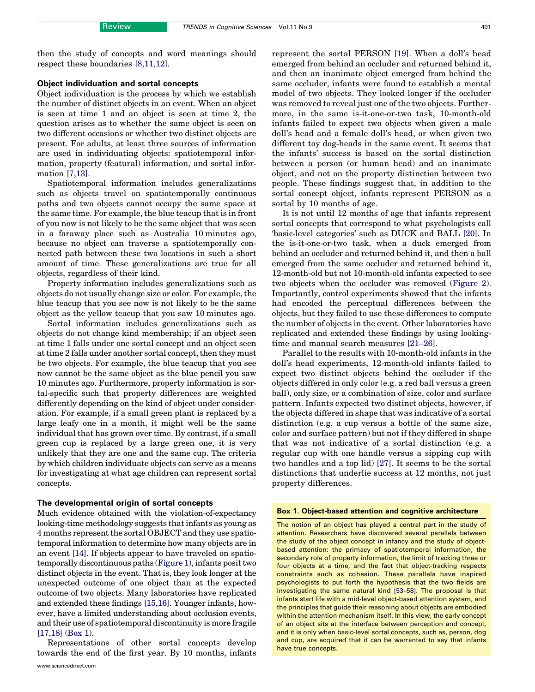then the study of concepts and word meanings should respect these boundaries [\[8,11,12\].](#page-5-0)

## Object individuation and sortal concepts

Object individuation is the process by which we establish the number of distinct objects in an event. When an object is seen at time 1 and an object is seen at time 2, the question arises as to whether the same object is seen on two different occasions or whether two distinct objects are present. For adults, at least three sources of information are used in individuating objects: spatiotemporal information, property (featural) information, and sortal information [\[7,13\].](#page-5-0)

Spatiotemporal information includes generalizations such as objects travel on spatiotemporally continuous paths and two objects cannot occupy the same space at the same time. For example, the blue teacup that is in front of you now is not likely to be the same object that was seen in a faraway place such as Australia 10 minutes ago, because no object can traverse a spatiotemporally connected path between these two locations in such a short amount of time. These generalizations are true for all objects, regardless of their kind.

Property information includes generalizations such as objects do not usually change size or color. For example, the blue teacup that you see now is not likely to be the same object as the yellow teacup that you saw 10 minutes ago.

Sortal information includes generalizations such as objects do not change kind membership; if an object seen at time 1 falls under one sortal concept and an object seen at time 2 falls under another sortal concept, then they must be two objects. For example, the blue teacup that you see now cannot be the same object as the blue pencil you saw 10 minutes ago. Furthermore, property information is sortal-specific such that property differences are weighted differently depending on the kind of object under consideration. For example, if a small green plant is replaced by a large leafy one in a month, it might well be the same individual that has grown over time. By contrast, if a small green cup is replaced by a large green one, it is very unlikely that they are one and the same cup. The criteria by which children individuate objects can serve as a means for investigating at what age children can represent sortal concepts.

#### The developmental origin of sortal concepts

Much evidence obtained with the violation-of-expectancy looking-time methodology suggests that infants as young as 4 months represent the sortal OBJECT and they use spatiotemporal information to determine how many objects are in an event [\[14\].](#page-5-0) If objects appear to have traveled on spatiotemporally discontinuous paths ([Figure 1](#page-2-0)), infants posit two distinct objects in the event. That is, they look longer at the unexpected outcome of one object than at the expected outcome of two objects. Many laboratories have replicated and extended these findings [\[15,16\]](#page-5-0). Younger infants, however, have a limited understanding about occlusion events, and their use of spatiotemporal discontinuity is more fragile [\[17,18\]](#page-5-0) (Box 1).

Representations of other sortal concepts develop towards the end of the first year. By 10 months, infants represent the sortal PERSON [\[19\]](#page-5-0). When a doll's head emerged from behind an occluder and returned behind it, and then an inanimate object emerged from behind the same occluder, infants were found to establish a mental model of two objects. They looked longer if the occluder was removed to reveal just one of the two objects. Furthermore, in the same is-it-one-or-two task, 10-month-old infants failed to expect two objects when given a male doll's head and a female doll's head, or when given two different toy dog-heads in the same event. It seems that the infants' success is based on the sortal distinction between a person (or human head) and an inanimate object, and not on the property distinction between two people. These findings suggest that, in addition to the sortal concept object, infants represent PERSON as a sortal by 10 months of age.

It is not until 12 months of age that infants represent sortal concepts that correspond to what psychologists call 'basic-level categories' such as DUCK and BALL [\[20\].](#page-5-0) In the is-it-one-or-two task, when a duck emerged from behind an occluder and returned behind it, and then a ball emerged from the same occluder and returned behind it, 12-month-old but not 10-month-old infants expected to see two objects when the occluder was removed [\(Figure 2\)](#page-3-0). Importantly, control experiments showed that the infants had encoded the perceptual differences between the objects, but they failed to use these differences to compute the number of objects in the event. Other laboratories have replicated and extended these findings by using lookingtime and manual search measures [\[21–26\].](#page-5-0)

Parallel to the results with 10-month-old infants in the doll's head experiments, 12-month-old infants failed to expect two distinct objects behind the occluder if the objects differed in only color (e.g. a red ball versus a green ball), only size, or a combination of size, color and surface pattern. Infants expected two distinct objects, however, if the objects differed in shape that was indicative of a sortal distinction (e.g. a cup versus a bottle of the same size, color and surface pattern) but not if they differed in shape that was not indicative of a sortal distinction (e.g. a regular cup with one handle versus a sipping cup with two handles and a top lid) [\[27\]](#page-5-0). It seems to be the sortal distinctions that underlie success at 12 months, not just property differences.

#### Box 1. Object-based attention and cognitive architecture

The notion of an object has played a central part in the study of attention. Researchers have discovered several parallels between the study of the object concept in infancy and the study of objectbased attention: the primacy of spatiotemporal information, the secondary role of property information, the limit of tracking three or four objects at a time, and the fact that object-tracking respects constraints such as cohesion. These parallels have inspired psychologists to put forth the hypothesis that the two fields are investigating the same natural kind [\[53–58\]](#page-6-0). The proposal is that infants start life with a mid-level object-based attention system, and the principles that guide their reasoning about objects are embodied within the attention mechanism itself. In this view, the early concept of an object sits at the interface between perception and concept, and it is only when basic-level sortal concepts, such as, person, dog and cup, are acquired that it can be warranted to say that infants have true concepts.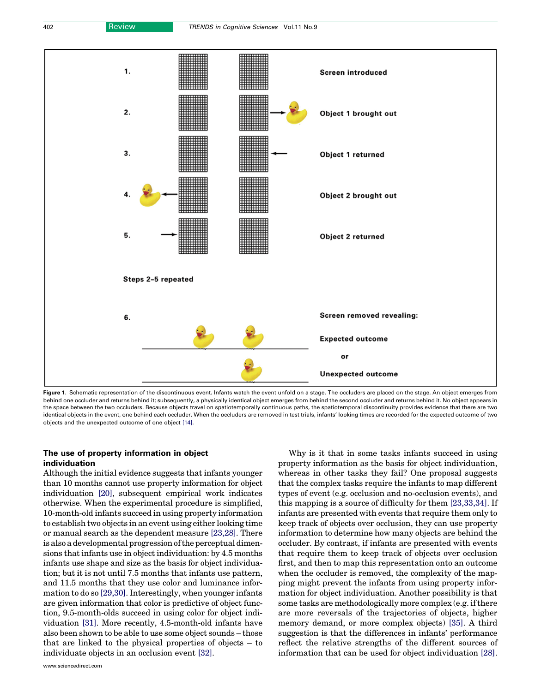<span id="page-2-0"></span>

Figure 1. Schematic representation of the discontinuous event. Infants watch the event unfold on a stage. The occluders are placed on the stage. An object emerges from behind one occluder and returns behind it; subsequently, a physically identical object emerges from behind the second occluder and returns behind it. No object appears in the space between the two occluders. Because objects travel on spatiotemporally continuous paths, the spatiotemporal discontinuity provides evidence that there are two identical objects in the event, one behind each occluder. When the occluders are removed in test trials, infants' looking times are recorded for the expected outcome of two objects and the unexpected outcome of one object [\[14\]](#page-5-0).

## The use of property information in object individuation

Although the initial evidence suggests that infants younger than 10 months cannot use property information for object individuation [\[20\],](#page-5-0) subsequent empirical work indicates otherwise. When the experimental procedure is simplified, 10-month-old infants succeed in using property information to establish two objects in an event using either looking time or manual search as the dependent measure [\[23,28\]](#page-5-0). There is also a developmental progression of the perceptual dimensions that infants use in object individuation: by 4.5 months infants use shape and size as the basis for object individuation; but it is not until 7.5 months that infants use pattern, and 11.5 months that they use color and luminance information to do so [\[29,30\]](#page-5-0). Interestingly, when younger infants are given information that color is predictive of object function, 9.5-month-olds succeed in using color for object individuation [\[31\]](#page-5-0). More recently, 4.5-month-old infants have also been shown to be able to use some object sounds – those that are linked to the physical properties of objects – to individuate objects in an occlusion event [\[32\].](#page-5-0)

Why is it that in some tasks infants succeed in using property information as the basis for object individuation, whereas in other tasks they fail? One proposal suggests that the complex tasks require the infants to map different types of event (e.g. occlusion and no-occlusion events), and this mapping is a source of difficulty for them [\[23,33,34\].](#page-5-0) If infants are presented with events that require them only to keep track of objects over occlusion, they can use property information to determine how many objects are behind the occluder. By contrast, if infants are presented with events that require them to keep track of objects over occlusion first, and then to map this representation onto an outcome when the occluder is removed, the complexity of the mapping might prevent the infants from using property information for object individuation. Another possibility is that some tasks are methodologically more complex (e.g. if there are more reversals of the trajectories of objects, higher memory demand, or more complex objects) [\[35\].](#page-5-0) A third suggestion is that the differences in infants' performance reflect the relative strengths of the different sources of information that can be used for object individuation [\[28\]](#page-5-0).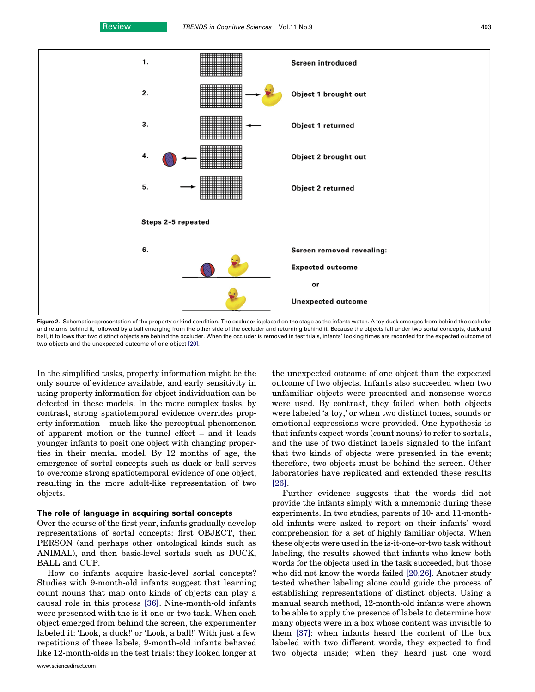<span id="page-3-0"></span>

Figure 2. Schematic representation of the property or kind condition. The occluder is placed on the stage as the infants watch. A toy duck emerges from behind the occluder and returns behind it, followed by a ball emerging from the other side of the occluder and returning behind it. Because the objects fall under two sortal concepts, duck and ball, it follows that two distinct objects are behind the occluder. When the occluder is removed in test trials, infants' looking times are recorded for the expected outcome of two objects and the unexpected outcome of one object [\[20\].](#page-5-0)

In the simplified tasks, property information might be the only source of evidence available, and early sensitivity in using property information for object individuation can be detected in these models. In the more complex tasks, by contrast, strong spatiotemporal evidence overrides property information – much like the perceptual phenomenon of apparent motion or the tunnel effect – and it leads younger infants to posit one object with changing properties in their mental model. By 12 months of age, the emergence of sortal concepts such as duck or ball serves to overcome strong spatiotemporal evidence of one object, resulting in the more adult-like representation of two objects.

#### The role of language in acquiring sortal concepts

Over the course of the first year, infants gradually develop representations of sortal concepts: first OBJECT, then PERSON (and perhaps other ontological kinds such as ANIMAL), and then basic-level sortals such as DUCK, BALL and CUP.

How do infants acquire basic-level sortal concepts? Studies with 9-month-old infants suggest that learning count nouns that map onto kinds of objects can play a causal role in this process [\[36\]](#page-5-0). Nine-month-old infants were presented with the is-it-one-or-two task. When each object emerged from behind the screen, the experimenter labeled it: 'Look, a duck!' or 'Look, a ball!' With just a few repetitions of these labels, 9-month-old infants behaved like 12-month-olds in the test trials: they looked longer at

the unexpected outcome of one object than the expected outcome of two objects. Infants also succeeded when two unfamiliar objects were presented and nonsense words were used. By contrast, they failed when both objects were labeled 'a toy,' or when two distinct tones, sounds or emotional expressions were provided. One hypothesis is that infants expect words (count nouns) to refer to sortals, and the use of two distinct labels signaled to the infant that two kinds of objects were presented in the event; therefore, two objects must be behind the screen. Other laboratories have replicated and extended these results [\[26\]](#page-5-0).

Further evidence suggests that the words did not provide the infants simply with a mnemonic during these experiments. In two studies, parents of 10- and 11-monthold infants were asked to report on their infants' word comprehension for a set of highly familiar objects. When these objects were used in the is-it-one-or-two task without labeling, the results showed that infants who knew both words for the objects used in the task succeeded, but those who did not know the words failed [\[20,26\].](#page-5-0) Another study tested whether labeling alone could guide the process of establishing representations of distinct objects. Using a manual search method, 12-month-old infants were shown to be able to apply the presence of labels to determine how many objects were in a box whose content was invisible to them [\[37\]:](#page-5-0) when infants heard the content of the box labeled with two different words, they expected to find two objects inside; when they heard just one word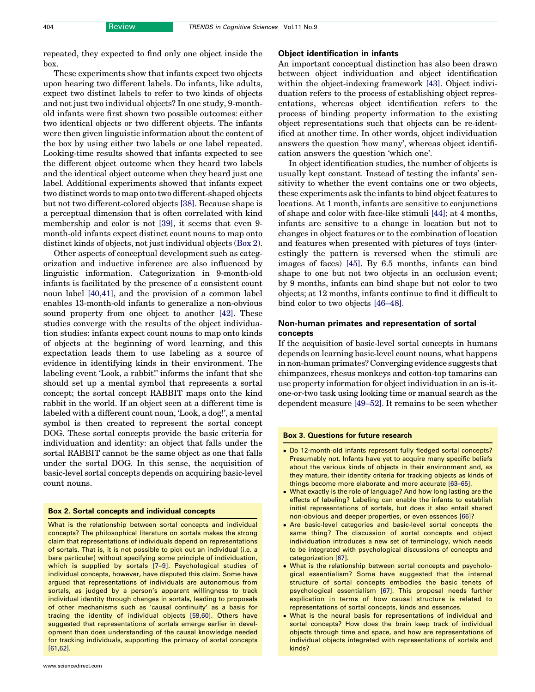<span id="page-4-0"></span>repeated, they expected to find only one object inside the box.

These experiments show that infants expect two objects upon hearing two different labels. Do infants, like adults, expect two distinct labels to refer to two kinds of objects and not just two individual objects? In one study, 9-monthold infants were first shown two possible outcomes: either two identical objects or two different objects. The infants were then given linguistic information about the content of the box by using either two labels or one label repeated. Looking-time results showed that infants expected to see the different object outcome when they heard two labels and the identical object outcome when they heard just one label. Additional experiments showed that infants expect two distinct words to map onto two different-shaped objects but not two different-colored objects [\[38\].](#page-5-0) Because shape is a perceptual dimension that is often correlated with kind membership and color is not [\[39\]](#page-5-0), it seems that even 9 month-old infants expect distinct count nouns to map onto distinct kinds of objects, not just individual objects (Box 2).

Other aspects of conceptual development such as categorization and inductive inference are also influenced by linguistic information. Categorization in 9-month-old infants is facilitated by the presence of a consistent count noun label [\[40,41\],](#page-5-0) and the provision of a common label enables 13-month-old infants to generalize a non-obvious sound property from one object to another [\[42\]](#page-5-0). These studies converge with the results of the object individuation studies: infants expect count nouns to map onto kinds of objects at the beginning of word learning, and this expectation leads them to use labeling as a source of evidence in identifying kinds in their environment. The labeling event 'Look, a rabbit!' informs the infant that she should set up a mental symbol that represents a sortal concept; the sortal concept RABBIT maps onto the kind rabbit in the world. If an object seen at a different time is labeled with a different count noun, 'Look, a dog!', a mental symbol is then created to represent the sortal concept DOG. These sortal concepts provide the basic criteria for individuation and identity: an object that falls under the sortal RABBIT cannot be the same object as one that falls under the sortal DOG. In this sense, the acquisition of basic-level sortal concepts depends on acquiring basic-level count nouns.

#### Box 2. Sortal concepts and individual concepts

What is the relationship between sortal concepts and individual concepts? The philosophical literature on sortals makes the strong claim that representations of individuals depend on representations of sortals. That is, it is not possible to pick out an individual (i.e. a bare particular) without specifying some principle of individuation, which is supplied by sortals [\[7–9\].](#page-5-0) Psychological studies of individual concepts, however, have disputed this claim. Some have argued that representations of individuals are autonomous from sortals, as judged by a person's apparent willingness to track individual identity through changes in sortals, leading to proposals of other mechanisms such as 'causal continuity' as a basis for tracing the identity of individual objects [\[59,60\].](#page-6-0) Others have suggested that representations of sortals emerge earlier in development than does understanding of the causal knowledge needed for tracking individuals, supporting the primacy of sortal concepts [61,62]

### Object identification in infants

An important conceptual distinction has also been drawn between object individuation and object identification within the object-indexing framework [\[43\]](#page-5-0). Object individuation refers to the process of establishing object representations, whereas object identification refers to the process of binding property information to the existing object representations such that objects can be re-identified at another time. In other words, object individuation answers the question 'how many', whereas object identification answers the question 'which one'.

In object identification studies, the number of objects is usually kept constant. Instead of testing the infants' sensitivity to whether the event contains one or two objects, these experiments ask the infants to bind object features to locations. At 1 month, infants are sensitive to conjunctions of shape and color with face-like stimuli [\[44\]](#page-5-0); at 4 months, infants are sensitive to a change in location but not to changes in object features or to the combination of location and features when presented with pictures of toys (interestingly the pattern is reversed when the stimuli are images of faces) [\[45\].](#page-5-0) By 6.5 months, infants can bind shape to one but not two objects in an occlusion event; by 9 months, infants can bind shape but not color to two objects; at 12 months, infants continue to find it difficult to bind color to two objects [\[46–48\]](#page-5-0).

## Non-human primates and representation of sortal concepts

If the acquisition of basic-level sortal concepts in humans depends on learning basic-level count nouns, what happens in non-human primates? Converging evidence suggests that chimpanzees, rhesus monkeys and cotton-top tamarins can use property information for object individuation in an is-itone-or-two task using looking time or manual search as the dependent measure [\[49–52\]](#page-5-0). It remains to be seen whether

## Box 3. Questions for future research

- Do 12-month-old infants represent fully fledged sortal concepts? Presumably not. Infants have yet to acquire many specific beliefs about the various kinds of objects in their environment and, as they mature, their identity criteria for tracking objects as kinds of things become more elaborate and more accurate [\[63–65\].](#page-6-0)
- What exactly is the role of language? And how long lasting are the effects of labeling? Labeling can enable the infants to establish initial representations of sortals, but does it also entail shared non-obvious and deeper properties, or even essences [\[66\]](#page-6-0)?
- Are basic-level categories and basic-level sortal concepts the same thing? The discussion of sortal concepts and object individuation introduces a new set of terminology, which needs to be integrated with psychological discussions of concepts and categorization [\[67\]](#page-6-0).
- What is the relationship between sortal concepts and psychological essentialism? Some have suggested that the internal structure of sortal concepts embodies the basic tenets of psychological essentialism [\[67\]](#page-6-0). This proposal needs further explication in terms of how causal structure is related to representations of sortal concepts, kinds and essences.
- What is the neural basis for representations of individual and sortal concepts? How does the brain keep track of individual objects through time and space, and how are representations of individual objects integrated with representations of sortals and kinds?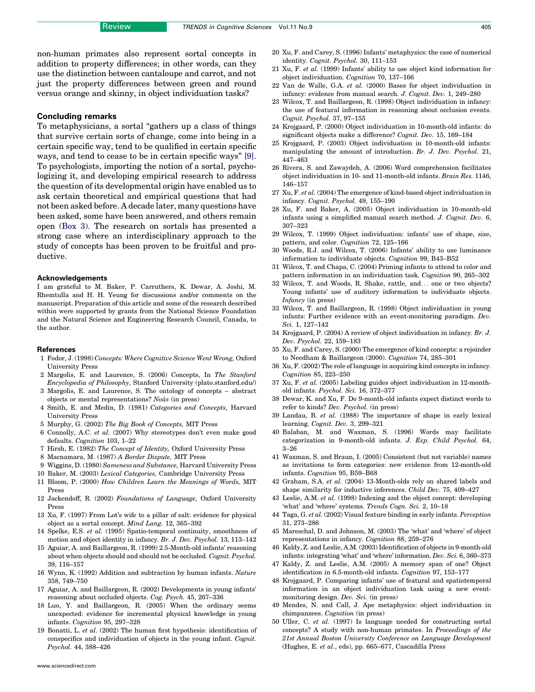<span id="page-5-0"></span>non-human primates also represent sortal concepts in addition to property differences; in other words, can they use the distinction between cantaloupe and carrot, and not just the property differences between green and round versus orange and skinny, in object individuation tasks?

## Concluding remarks

To metaphysicians, a sortal "gathers up a class of things" that survive certain sorts of change, come into being in a certain specific way, tend to be qualified in certain specific ways, and tend to cease to be in certain specific ways'' [9]. To psychologists, importing the notion of a sortal, psychologizing it, and developing empirical research to address the question of its developmental origin have enabled us to ask certain theoretical and empirical questions that had not been asked before. A decade later, many questions have been asked, some have been answered, and others remain open ([Box 3\)](#page-4-0). The research on sortals has presented a strong case where an interdisciplinary approach to the study of concepts has been proven to be fruitful and productive.

#### Acknowledgements

I am grateful to M. Baker, P. Carruthers, K. Dewar, A. Joshi, M. Rhemtulla and H. H. Yeung for discussions and/or comments on the manuscript. Preparation of this article and some of the research described within were supported by grants from the National Science Foundation and the Natural Science and Engineering Research Council, Canada, to the author.

#### References

- 1 Fodor, J. (1998) Concepts: Where Cognitive Science Went Wrong, Oxford University Press
- 2 Margolis, E. and Laurence, S. (2006) Concepts, In The Stanford Encyclopedia of Philosophy, Stanford University (plato.stanford.edu/)
- 3 Margolis, E. and Laurence, S. The ontology of concepts abstract objects or mental representations?  $No\hat{u}s$  (in press)
- 4 Smith, E. and Medin, D. (1981) Categories and Concepts, Harvard University Press
- 5 Murphy, G. (2002) The Big Book of Concepts, MIT Press
- 6 Connolly, A.C. et al. (2007) Why stereotypes don't even make good defaults. Cognition 103, 1–22
- 7 Hirsh, E. (1982) The Concept of Identity, Oxford University Press
- 8 Macnamara, M. (1987) A Border Dispute, MIT Press
- 9 Wiggins, D. (1980) Sameness and Substance, Harvard University Press
- 10 Baker, M. (2003) Lexical Categories, Cambridge University Press
- 11 Bloom, P. (2000) How Children Learn the Meanings of Words, MIT Press
- 12 Jackendoff, R. (2002) Foundations of Language, Oxford University Press
- 13 Xu, F. (1997) From Lot's wife to a pillar of salt: evidence for physical object as a sortal concept. Mind Lang. 12, 365–392
- 14 Spelke, E.S. et al. (1995) Spatio-temporal continuity, smoothness of motion and object identity in infancy. Br. J. Dev. Psychol. 13, 113–142
- 15 Aguiar, A. and Baillargeon, R. (1999) 2.5-Month-old infants' reasoning about when objects should and should not be occluded. Cognit. Psychol. 39, 116–157
- 16 Wynn, K. (1992) Addition and subtraction by human infants. Nature 358, 749–750
- 17 Aguiar, A. and Baillargeon, R. (2002) Developments in young infants' reasoning about occluded objects. Cog. Psych. 45, 267–336
- 18 Luo, Y. and Baillargeon, R. (2005) When the ordinary seems unexpected: evidence for incremental physical knowledge in young infants. Cognition 95, 297–328
- 19 Bonatti, L. et al. (2002) The human first hypothesis: identification of conspecifics and individuation of objects in the young infant. Cognit. Psychol. 44, 388–426
- 20 Xu, F. and Carey, S. (1996) Infants' metaphysics: the case of numerical identity. Cognit. Psychol. 30, 111–153
- 21 Xu, F. et al. (1999) Infants' ability to use object kind information for object individuation. Cognition 70, 137–166
- 22 Van de Walle, G.A. et al. (2000) Bases for object individuation in infancy: evidence from manual search. J. Cognit. Dev. 1, 249–280
- 23 Wilcox, T. and Baillargeon, R. (1998) Object individuation in infancy: the use of featural information in reasoning about occlusion events. Cognit. Psychol. 37, 97–155
- 24 Krojgaard, P. (2000) Object individuation in 10-month-old infants: do significant objects make a difference? Cognit. Dev. 15, 169–184
- 25 Krojgaard, P. (2003) Object individuation in 10-month-old infants: manipulating the amount of introduction. Br. J. Dev. Psychol. 21, 447–463
- 26 Rivera, S. and Zawaydeh, A. (2006) Word comprehension facilitates object individuation in 10- and 11-month-old infants. Brain Res. 1146, 146–157
- 27 Xu, F. et al. (2004) The emergence of kind-based object individuation in infancy. Cognit. Psychol. 49, 155–190
- 28 Xu, F. and Baker, A. (2005) Object individuation in 10-month-old infants using a simplified manual search method. J. Cognit. Dev. 6, 307–323
- 29 Wilcox, T. (1999) Object individuation: infants' use of shape, size, pattern, and color. Cognition 72, 125–166
- 30 Woods, R.J. and Wilcox, T. (2006) Infants' ability to use luminance information to individuate objects. Cognition 99, B43–B52
- 31 Wilcox, T. and Chapa, C. (2004) Priming infants to attend to color and pattern information in an individuation task. Cognition 90, 265–302
- 32 Wilcox, T. and Woods, R. Shake, rattle, and... one or two objects? Young infants' use of auditory information to individuate objects. Infancy (in press)
- 33 Wilcox, T. and Baillargeon, R. (1998) Object individuation in young infants: Further evidence with an event-monitoring paradigm. Dev. Sci. 1, 127–142
- 34 Krojgaard, P. (2004) A review of object individuation in infancy. Br. J. Dev. Psychol. 22, 159–183
- 35 Xu, F. and Carey, S. (2000) The emergence of kind concepts: a rejoinder to Needham & Baillargeon (2000). Cognition 74, 285–301
- 36 Xu, F. (2002) The role of language in acquiring kind concepts in infancy. Cognition 85, 223–250
- 37 Xu, F. et al. (2005) Labeling guides object individuation in 12-monthold infants. Psychol. Sci. 16, 372–377
- 38 Dewar, K. and Xu, F. Do 9-month-old infants expect distinct words to refer to kinds? Dev. Psychol. (in press)
- 39 Landau, B. et al. (1988) The importance of shape in early lexical learning. Cognit. Dev. 3, 299–321
- 40 Balaban, M. and Waxman, S. (1996) Words may facilitate categorization in 9-month-old infants. J. Exp. Child Psychol. 64, 3–26
- 41 Waxman, S. and Braun, I. (2005) Consistent (but not variable) names as invitations to form categories: new evidence from 12-month-old infants. Cognition 95, B59–B68
- 42 Graham, S.A. et al. (2004) 13-Month-olds rely on shared labels and shape similarity for inductive inferences. Child Dev. 75, 409–427
- 43 Leslie, A.M. et al. (1998) Indexing and the object concept: developing 'what' and 'where' systems. Trends Cogn. Sci. 2, 10–18
- 44 Taga, G. et al. (2002) Visual feature binding in early infants. Perception 31, 273–286
- 45 Mareschal, D. and Johnson, M. (2003) The 'what' and 'where' of object representations in infancy. Cognition 88, 259–276
- 46 Kaldy, Z. and Leslie, A.M. (2003) Identification of objects in 9-month-old infants: integrating 'what' and 'where' information. Dev. Sci. 6, 360–373
- 47 Kaldy, Z. and Leslie, A.M. (2005) A memory span of one? Object identification in 6.5-month-old infants. Cognition 97, 153–177
- 48 Krojgaard, P. Comparing infants' use of featural and spatiotemporal information in an object individuation task using a new eventmonitoring design. Dev. Sci. (in press)
- 49 Mendes, N. and Call, J. Ape metaphysics: object individuation in chimpanzees. Cognition (in press)
- 50 Uller, C. et al. (1997) Is language needed for constructing sortal concepts? A study with non-human primates. In Proceedings of the 21st Annual Boston University Conference on Language Development (Hughes, E. et al., eds), pp. 665–677, Cascadilla Press